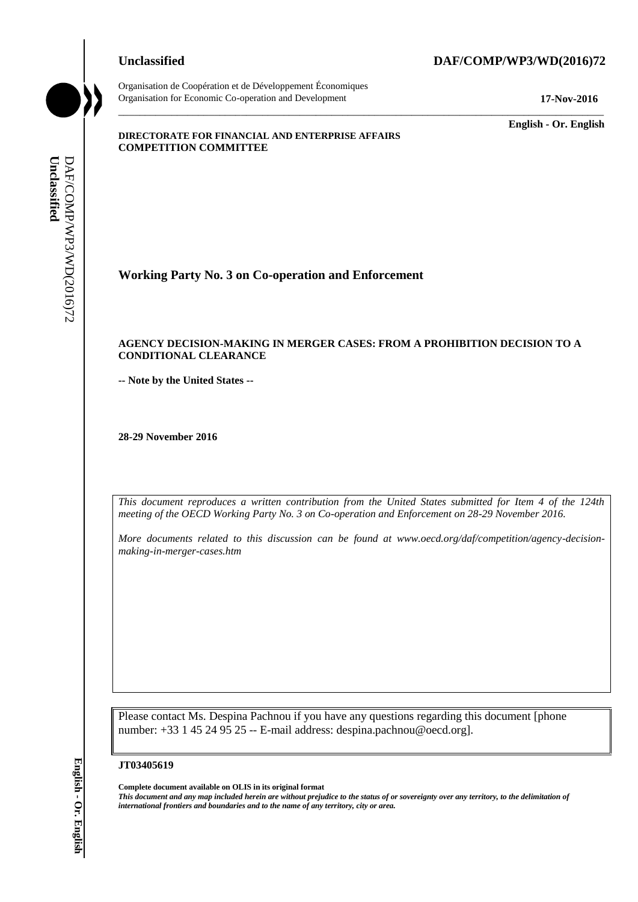## **Unclassified DAF/COMP/WP3/WD(2016)72**

Organisation de Coopération et de Développement Économiques Organisation for Economic Co-operation and Development **17-Nov-2016**

\_\_\_\_\_\_\_\_\_\_\_\_\_ **English - Or. English**

#### **DIRECTORATE FOR FINANCIAL AND ENTERPRISE AFFAIRS COMPETITION COMMITTEE**

**Working Party No. 3 on Co-operation and Enforcement**

#### **AGENCY DECISION-MAKING IN MERGER CASES: FROM A PROHIBITION DECISION TO A CONDITIONAL CLEARANCE**

\_\_\_\_\_\_\_\_\_\_\_\_\_\_\_\_\_\_\_\_\_\_\_\_\_\_\_\_\_\_\_\_\_\_\_\_\_\_\_\_\_\_\_\_\_\_\_\_\_\_\_\_\_\_\_\_\_\_\_\_\_\_\_\_\_\_\_\_\_\_\_\_\_\_\_\_\_\_\_\_\_\_\_\_\_\_\_\_\_\_\_

**-- Note by the United States --**

**28-29 November 2016**

*This document reproduces a written contribution from the United States submitted for Item 4 of the 124th meeting of the OECD Working Party No. 3 on Co-operation and Enforcement on 28-29 November 2016.*

*More documents related to this discussion can be found at www.oecd.org/daf/competition/agency-decisionmaking-in-merger-cases.htm*

Please contact Ms. Despina Pachnou if you have any questions regarding this document [phone number: +33 1 45 24 95 25 -- E-mail address: despina.pachnou@oecd.org]. *international frontiers and boundaries and to the name of any territory, city or area.* **Unclassified** DAF/COMP/WP3/WD(2016)72 **English - Or. English**

#### **JT03405619**

**Complete document available on OLIS in its original format**

*This document and any map included herein are without prejudice to the status of or sovereignty over any territory, to the delimitation of*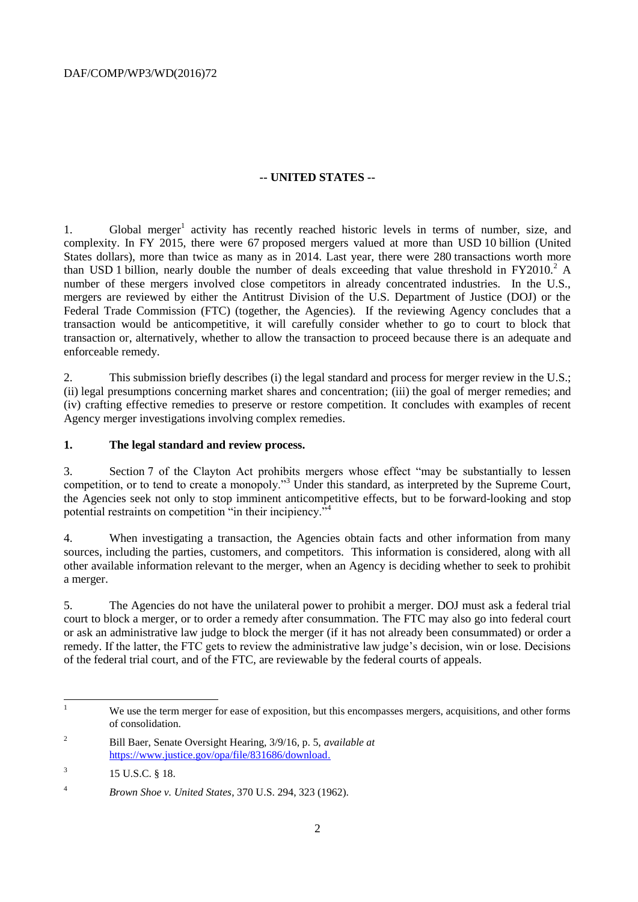## **-- UNITED STATES --**

1. Global merger<sup>1</sup> activity has recently reached historic levels in terms of number, size, and complexity. In FY 2015, there were 67 proposed mergers valued at more than USD 10 billion (United States dollars), more than twice as many as in 2014. Last year, there were 280 transactions worth more than USD 1 billion, nearly double the number of deals exceeding that value threshold in  $FY2010<sup>2</sup> A$ number of these mergers involved close competitors in already concentrated industries. In the U.S., mergers are reviewed by either the Antitrust Division of the U.S. Department of Justice (DOJ) or the Federal Trade Commission (FTC) (together, the Agencies). If the reviewing Agency concludes that a transaction would be anticompetitive, it will carefully consider whether to go to court to block that transaction or, alternatively, whether to allow the transaction to proceed because there is an adequate and enforceable remedy.

2. This submission briefly describes (i) the legal standard and process for merger review in the U.S.; (ii) legal presumptions concerning market shares and concentration; (iii) the goal of merger remedies; and (iv) crafting effective remedies to preserve or restore competition. It concludes with examples of recent Agency merger investigations involving complex remedies.

#### **1. The legal standard and review process.**

3. Section 7 of the Clayton Act prohibits mergers whose effect "may be substantially to lessen competition, or to tend to create a monopoly."<sup>3</sup> Under this standard, as interpreted by the Supreme Court, the Agencies seek not only to stop imminent anticompetitive effects, but to be forward-looking and stop potential restraints on competition "in their incipiency. $\mathfrak{I}^4$ 

4. When investigating a transaction, the Agencies obtain facts and other information from many sources, including the parties, customers, and competitors. This information is considered, along with all other available information relevant to the merger, when an Agency is deciding whether to seek to prohibit a merger.

5. The Agencies do not have the unilateral power to prohibit a merger. DOJ must ask a federal trial court to block a merger, or to order a remedy after consummation. The FTC may also go into federal court or ask an administrative law judge to block the merger (if it has not already been consummated) or order a remedy. If the latter, the FTC gets to review the administrative law judge's decision, win or lose. Decisions of the federal trial court, and of the FTC, are reviewable by the federal courts of appeals.

 $\mathbf{1}$ We use the term merger for ease of exposition, but this encompasses mergers, acquisitions, and other forms of consolidation.

<sup>2</sup> Bill Baer, Senate Oversight Hearing, 3/9/16, p. 5, *available at* [https://www.justice.gov/opa/file/831686/download.](https://www.justice.gov/opa/file/831686/download)

<sup>3</sup> 15 U.S.C. § 18.

<sup>4</sup> *Brown Shoe v. United States*, 370 U.S. 294, 323 (1962).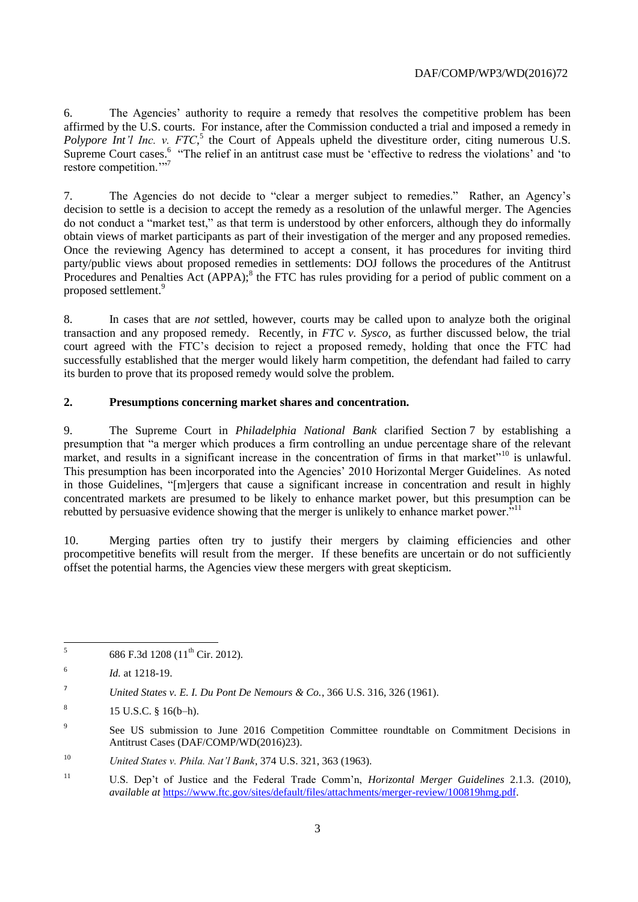6. The Agencies' authority to require a remedy that resolves the competitive problem has been affirmed by the U.S. courts. For instance, after the Commission conducted a trial and imposed a remedy in Polypore Int'l Inc. v. FTC,<sup>5</sup> the Court of Appeals upheld the divestiture order, citing numerous U.S. Supreme Court cases.<sup>6</sup> "The relief in an antitrust case must be 'effective to redress the violations' and 'to restore competition."<sup>77</sup>

7. The Agencies do not decide to "clear a merger subject to remedies." Rather, an Agency's decision to settle is a decision to accept the remedy as a resolution of the unlawful merger. The Agencies do not conduct a "market test," as that term is understood by other enforcers, although they do informally obtain views of market participants as part of their investigation of the merger and any proposed remedies. Once the reviewing Agency has determined to accept a consent, it has procedures for inviting third party/public views about proposed remedies in settlements: DOJ follows the procedures of the Antitrust Procedures and Penalties  $\overline{Act}$  (APPA);<sup>8</sup> the FTC has rules providing for a period of public comment on a proposed settlement.<sup>9</sup>

8. In cases that are *not* settled, however, courts may be called upon to analyze both the original transaction and any proposed remedy. Recently, in *FTC v. Sysco*, as further discussed below, the trial court agreed with the FTC's decision to reject a proposed remedy, holding that once the FTC had successfully established that the merger would likely harm competition, the defendant had failed to carry its burden to prove that its proposed remedy would solve the problem.

# **2. Presumptions concerning market shares and concentration.**

9. The Supreme Court in *Philadelphia National Bank* clarified Section 7 by establishing a presumption that "a merger which produces a firm controlling an undue percentage share of the relevant market, and results in a significant increase in the concentration of firms in that market"<sup>10</sup> is unlawful. This presumption has been incorporated into the Agencies' 2010 Horizontal Merger Guidelines. As noted in those Guidelines, "[m]ergers that cause a significant increase in concentration and result in highly concentrated markets are presumed to be likely to enhance market power, but this presumption can be rebutted by persuasive evidence showing that the merger is unlikely to enhance market power.<sup>"11</sup>

10. Merging parties often try to justify their mergers by claiming efficiencies and other procompetitive benefits will result from the merger. If these benefits are uncertain or do not sufficiently offset the potential harms, the Agencies view these mergers with great skepticism.

 5 686 F.3d 1208 (11<sup>th</sup> Cir. 2012).

<sup>6</sup> *Id.* at 1218-19.

<sup>7</sup> *United States v. E. I. Du Pont De Nemours & Co.*, 366 U.S. 316, 326 (1961).

<sup>8</sup> 15 U.S.C. § 16(b–h).

 $\alpha$ See US submission to June 2016 Competition Committee roundtable on Commitment Decisions in Antitrust Cases (DAF/COMP/WD(2016)23).

<sup>10</sup> *United States v. Phila. Nat'l Bank*, 374 U.S. 321, 363 (1963).

<sup>11</sup> U.S. Dep't of Justice and the Federal Trade Comm'n, *Horizontal Merger Guidelines* 2.1.3. (2010), *available at* [https://www.ftc.gov/sites/default/files/attachments/merger-review/100819hmg.pdf.](https://www.ftc.gov/sites/default/files/attachments/merger-review/100819hmg.pdf)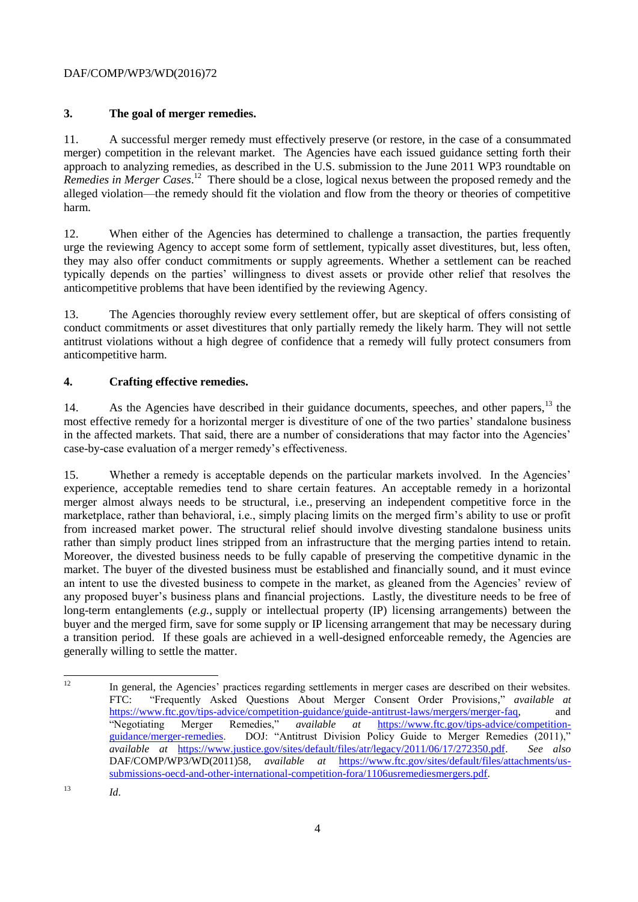# DAF/COMP/WP3/WD(2016)72

# **3. The goal of merger remedies.**

11. A successful merger remedy must effectively preserve (or restore, in the case of a consummated merger) competition in the relevant market. The Agencies have each issued guidance setting forth their approach to analyzing remedies, as described in the U.S. submission to the June 2011 WP3 roundtable on Remedies in Merger Cases.<sup>12</sup> There should be a close, logical nexus between the proposed remedy and the alleged violation—the remedy should fit the violation and flow from the theory or theories of competitive harm.

12. When either of the Agencies has determined to challenge a transaction, the parties frequently urge the reviewing Agency to accept some form of settlement, typically asset divestitures, but, less often, they may also offer conduct commitments or supply agreements. Whether a settlement can be reached typically depends on the parties' willingness to divest assets or provide other relief that resolves the anticompetitive problems that have been identified by the reviewing Agency.

13. The Agencies thoroughly review every settlement offer, but are skeptical of offers consisting of conduct commitments or asset divestitures that only partially remedy the likely harm. They will not settle antitrust violations without a high degree of confidence that a remedy will fully protect consumers from anticompetitive harm.

# **4. Crafting effective remedies.**

14. As the Agencies have described in their guidance documents, speeches, and other papers, <sup>13</sup> the most effective remedy for a horizontal merger is divestiture of one of the two parties' standalone business in the affected markets. That said, there are a number of considerations that may factor into the Agencies' case-by-case evaluation of a merger remedy's effectiveness.

15. Whether a remedy is acceptable depends on the particular markets involved. In the Agencies' experience, acceptable remedies tend to share certain features. An acceptable remedy in a horizontal merger almost always needs to be structural, i.e., preserving an independent competitive force in the marketplace, rather than behavioral, i.e., simply placing limits on the merged firm's ability to use or profit from increased market power. The structural relief should involve divesting standalone business units rather than simply product lines stripped from an infrastructure that the merging parties intend to retain. Moreover, the divested business needs to be fully capable of preserving the competitive dynamic in the market. The buyer of the divested business must be established and financially sound, and it must evince an intent to use the divested business to compete in the market, as gleaned from the Agencies' review of any proposed buyer's business plans and financial projections. Lastly, the divestiture needs to be free of long-term entanglements (*e.g.*, supply or intellectual property (IP) licensing arrangements) between the buyer and the merged firm, save for some supply or IP licensing arrangement that may be necessary during a transition period. If these goals are achieved in a well-designed enforceable remedy, the Agencies are generally willing to settle the matter.

 $12 \overline{ }$ <sup>12</sup> In general, the Agencies' practices regarding settlements in merger cases are described on their websites. FTC: "Frequently Asked Questions About Merger Consent Order Provisions," *available at* [https://www.ftc.gov/tips-advice/competition-guidance/guide-antitrust-laws/mergers/merger-faq,](https://www.ftc.gov/tips-advice/competition-guidance/guide-antitrust-laws/mergers/merger-faq) and "Negotiating Merger Remedies," *available at* [https://www.ftc.gov/tips-advice/competition](https://www.ftc.gov/tips-advice/competition-guidance/merger-remedies)[guidance/merger-remedies.](https://www.ftc.gov/tips-advice/competition-guidance/merger-remedies) DOJ: "Antitrust Division Policy Guide to Merger Remedies (2011)," *available at* [https://www.justice.gov/sites/default/files/atr/legacy/2011/06/17/272350.pdf.](https://www.justice.gov/sites/default/files/atr/legacy/2011/06/17/272350.pdf) *See also* DAF/COMP/WP3/WD(2011)58, *available at* [https://www.ftc.gov/sites/default/files/attachments/us](https://www.ftc.gov/sites/default/files/attachments/us-submissions-oecd-and-other-international-competition-fora/1106usremediesmergers.pdf)[submissions-oecd-and-other-international-competition-fora/1106usremediesmergers.pdf.](https://www.ftc.gov/sites/default/files/attachments/us-submissions-oecd-and-other-international-competition-fora/1106usremediesmergers.pdf)

<sup>13</sup> *Id*.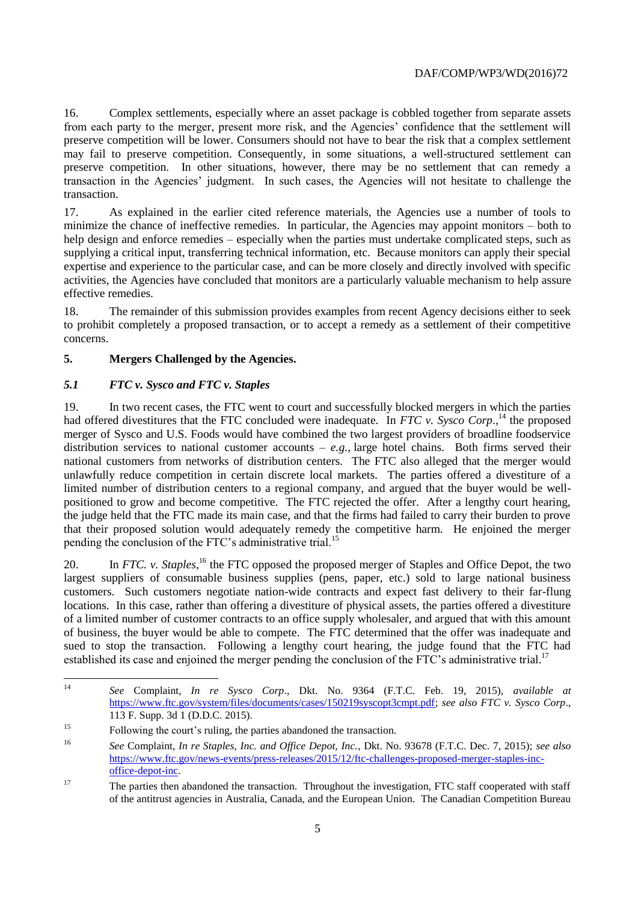16. Complex settlements, especially where an asset package is cobbled together from separate assets from each party to the merger, present more risk, and the Agencies' confidence that the settlement will preserve competition will be lower. Consumers should not have to bear the risk that a complex settlement may fail to preserve competition. Consequently, in some situations, a well-structured settlement can preserve competition. In other situations, however, there may be no settlement that can remedy a transaction in the Agencies' judgment. In such cases, the Agencies will not hesitate to challenge the transaction.

17. As explained in the earlier cited reference materials, the Agencies use a number of tools to minimize the chance of ineffective remedies. In particular, the Agencies may appoint monitors – both to help design and enforce remedies – especially when the parties must undertake complicated steps, such as supplying a critical input, transferring technical information, etc. Because monitors can apply their special expertise and experience to the particular case, and can be more closely and directly involved with specific activities, the Agencies have concluded that monitors are a particularly valuable mechanism to help assure effective remedies.

18. The remainder of this submission provides examples from recent Agency decisions either to seek to prohibit completely a proposed transaction, or to accept a remedy as a settlement of their competitive concerns.

## **5. Mergers Challenged by the Agencies.**

## *5.1 FTC v. Sysco and FTC v. Staples*

19. In two recent cases, the FTC went to court and successfully blocked mergers in which the parties had offered divestitures that the FTC concluded were inadequate. In *FTC v. Sysco Corp.*,<sup>14</sup> the proposed merger of Sysco and U.S. Foods would have combined the two largest providers of broadline foodservice distribution services to national customer accounts – *e.g.,* large hotel chains. Both firms served their national customers from networks of distribution centers. The FTC also alleged that the merger would unlawfully reduce competition in certain discrete local markets. The parties offered a divestiture of a limited number of distribution centers to a regional company, and argued that the buyer would be wellpositioned to grow and become competitive. The FTC rejected the offer. After a lengthy court hearing, the judge held that the FTC made its main case, and that the firms had failed to carry their burden to prove that their proposed solution would adequately remedy the competitive harm. He enjoined the merger pending the conclusion of the FTC's administrative trial.<sup>15</sup>

20. In *FTC. v. Staples*,<sup>16</sup> the FTC opposed the proposed merger of Staples and Office Depot, the two largest suppliers of consumable business supplies (pens, paper, etc.) sold to large national business customers. Such customers negotiate nation-wide contracts and expect fast delivery to their far-flung locations. In this case, rather than offering a divestiture of physical assets, the parties offered a divestiture of a limited number of customer contracts to an office supply wholesaler, and argued that with this amount of business, the buyer would be able to compete. The FTC determined that the offer was inadequate and sued to stop the transaction. Following a lengthy court hearing, the judge found that the FTC had established its case and enjoined the merger pending the conclusion of the FTC's administrative trial.<sup>17</sup>

 $14$ <sup>14</sup> *See* Complaint*, In re Sysco Corp*., Dkt. No. 9364 (F.T.C. Feb. 19, 2015), *available at*  [https://www.ftc.gov/system/files/documents/cases/150219syscopt3cmpt.pdf;](https://www.ftc.gov/system/files/documents/cases/150219syscopt3cmpt.pdf) *see also FTC v. Sysco Corp*., 113 F. Supp. 3d 1 (D.D.C. 2015).

<sup>&</sup>lt;sup>15</sup> Following the court's ruling, the parties abandoned the transaction.

<sup>16</sup> *See* Complaint, *In re Staples, Inc. and Office Depot, Inc.*, Dkt. No. 93678 (F.T.C. Dec. 7, 2015); *see also*  [https://www.ftc.gov/news-events/press-releases/2015/12/ftc-challenges-proposed-merger-staples-inc](https://www.ftc.gov/news-events/press-releases/2015/12/ftc-challenges-proposed-merger-staples-inc-office-depot-inc)[office-depot-inc.](https://www.ftc.gov/news-events/press-releases/2015/12/ftc-challenges-proposed-merger-staples-inc-office-depot-inc)

<sup>&</sup>lt;sup>17</sup> The parties then abandoned the transaction. Throughout the investigation, FTC staff cooperated with staff of the antitrust agencies in Australia, Canada, and the European Union. The Canadian Competition Bureau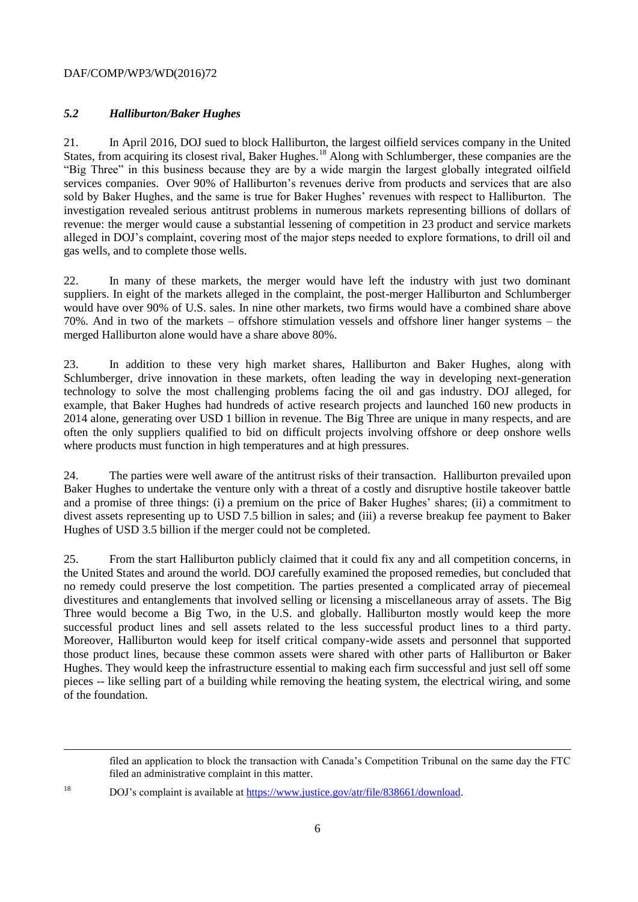#### DAF/COMP/WP3/WD(2016)72

l

# *5.2 Halliburton/Baker Hughes*

21. In April 2016, DOJ sued to block Halliburton, the largest oilfield services company in the United States, from acquiring its closest rival, Baker Hughes.<sup>18</sup> Along with Schlumberger, these companies are the "Big Three" in this business because they are by a wide margin the largest globally integrated oilfield services companies. Over 90% of Halliburton's revenues derive from products and services that are also sold by Baker Hughes, and the same is true for Baker Hughes' revenues with respect to Halliburton. The investigation revealed serious antitrust problems in numerous markets representing billions of dollars of revenue: the merger would cause a substantial lessening of competition in 23 product and service markets alleged in DOJ's complaint, covering most of the major steps needed to explore formations, to drill oil and gas wells, and to complete those wells.

22. In many of these markets, the merger would have left the industry with just two dominant suppliers. In eight of the markets alleged in the complaint, the post-merger Halliburton and Schlumberger would have over 90% of U.S. sales. In nine other markets, two firms would have a combined share above 70%. And in two of the markets – offshore stimulation vessels and offshore liner hanger systems – the merged Halliburton alone would have a share above 80%.

23. In addition to these very high market shares, Halliburton and Baker Hughes, along with Schlumberger, drive innovation in these markets, often leading the way in developing next-generation technology to solve the most challenging problems facing the oil and gas industry. DOJ alleged, for example, that Baker Hughes had hundreds of active research projects and launched 160 new products in 2014 alone, generating over USD 1 billion in revenue. The Big Three are unique in many respects, and are often the only suppliers qualified to bid on difficult projects involving offshore or deep onshore wells where products must function in high temperatures and at high pressures.

24. The parties were well aware of the antitrust risks of their transaction. Halliburton prevailed upon Baker Hughes to undertake the venture only with a threat of a costly and disruptive hostile takeover battle and a promise of three things: (i) a premium on the price of Baker Hughes' shares; (ii) a commitment to divest assets representing up to USD 7.5 billion in sales; and (iii) a reverse breakup fee payment to Baker Hughes of USD 3.5 billion if the merger could not be completed.

25. From the start Halliburton publicly claimed that it could fix any and all competition concerns, in the United States and around the world. DOJ carefully examined the proposed remedies, but concluded that no remedy could preserve the lost competition. The parties presented a complicated array of piecemeal divestitures and entanglements that involved selling or licensing a miscellaneous array of assets. The Big Three would become a Big Two, in the U.S. and globally. Halliburton mostly would keep the more successful product lines and sell assets related to the less successful product lines to a third party. Moreover, Halliburton would keep for itself critical company-wide assets and personnel that supported those product lines, because these common assets were shared with other parts of Halliburton or Baker Hughes. They would keep the infrastructure essential to making each firm successful and just sell off some pieces -- like selling part of a building while removing the heating system, the electrical wiring, and some of the foundation.

filed an application to block the transaction with Canada's Competition Tribunal on the same day the FTC filed an administrative complaint in this matter.

<sup>18</sup> DOJ's complaint is available at [https://www.justice.gov/atr/file/838661/download.](https://www.justice.gov/atr/file/838661/download)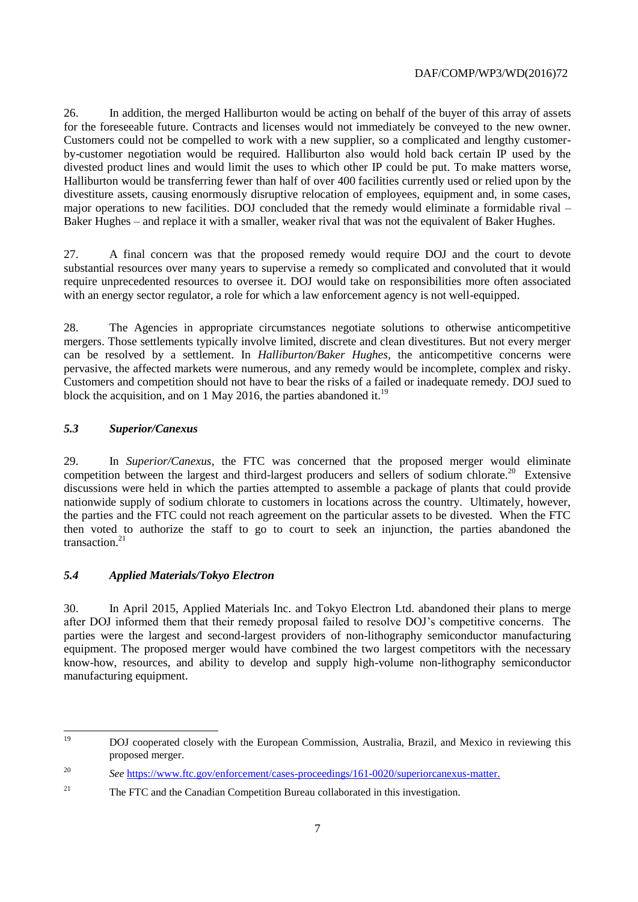26. In addition, the merged Halliburton would be acting on behalf of the buyer of this array of assets for the foreseeable future. Contracts and licenses would not immediately be conveyed to the new owner. Customers could not be compelled to work with a new supplier, so a complicated and lengthy customerby-customer negotiation would be required. Halliburton also would hold back certain IP used by the divested product lines and would limit the uses to which other IP could be put. To make matters worse, Halliburton would be transferring fewer than half of over 400 facilities currently used or relied upon by the divestiture assets, causing enormously disruptive relocation of employees, equipment and, in some cases, major operations to new facilities. DOJ concluded that the remedy would eliminate a formidable rival – Baker Hughes – and replace it with a smaller, weaker rival that was not the equivalent of Baker Hughes.

27. A final concern was that the proposed remedy would require DOJ and the court to devote substantial resources over many years to supervise a remedy so complicated and convoluted that it would require unprecedented resources to oversee it. DOJ would take on responsibilities more often associated with an energy sector regulator, a role for which a law enforcement agency is not well-equipped.

28. The Agencies in appropriate circumstances negotiate solutions to otherwise anticompetitive mergers. Those settlements typically involve limited, discrete and clean divestitures. But not every merger can be resolved by a settlement. In *Halliburton/Baker Hughes,* the anticompetitive concerns were pervasive, the affected markets were numerous, and any remedy would be incomplete, complex and risky. Customers and competition should not have to bear the risks of a failed or inadequate remedy. DOJ sued to block the acquisition, and on 1 May 2016, the parties abandoned it.<sup>19</sup>

# *5.3 Superior/Canexus*

29. In *Superior/Canexus*, the FTC was concerned that the proposed merger would eliminate competition between the largest and third-largest producers and sellers of sodium chlorate.<sup>20</sup> Extensive discussions were held in which the parties attempted to assemble a package of plants that could provide nationwide supply of sodium chlorate to customers in locations across the country. Ultimately, however, the parties and the FTC could not reach agreement on the particular assets to be divested. When the FTC then voted to authorize the staff to go to court to seek an injunction, the parties abandoned the transaction. $21$ 

# *5.4 Applied Materials/Tokyo Electron*

30. In April 2015, Applied Materials Inc. and Tokyo Electron Ltd. abandoned their plans to merge after DOJ informed them that their remedy proposal failed to resolve DOJ's competitive concerns. The parties were the largest and second-largest providers of non-lithography semiconductor manufacturing equipment. The proposed merger would have combined the two largest competitors with the necessary know-how, resources, and ability to develop and supply high-volume non-lithography semiconductor manufacturing equipment.

<sup>19</sup> <sup>19</sup> DOJ cooperated closely with the European Commission, Australia, Brazil, and Mexico in reviewing this proposed merger.

<sup>20</sup> *See* [https://www.ftc.gov/enforcement/cases-proceedings/161-0020/superiorcanexus-matter.](https://www.ftc.gov/enforcement/cases-proceedings/161-0020/superiorcanexus-matter)

<sup>&</sup>lt;sup>21</sup> The FTC and the Canadian Competition Bureau collaborated in this investigation.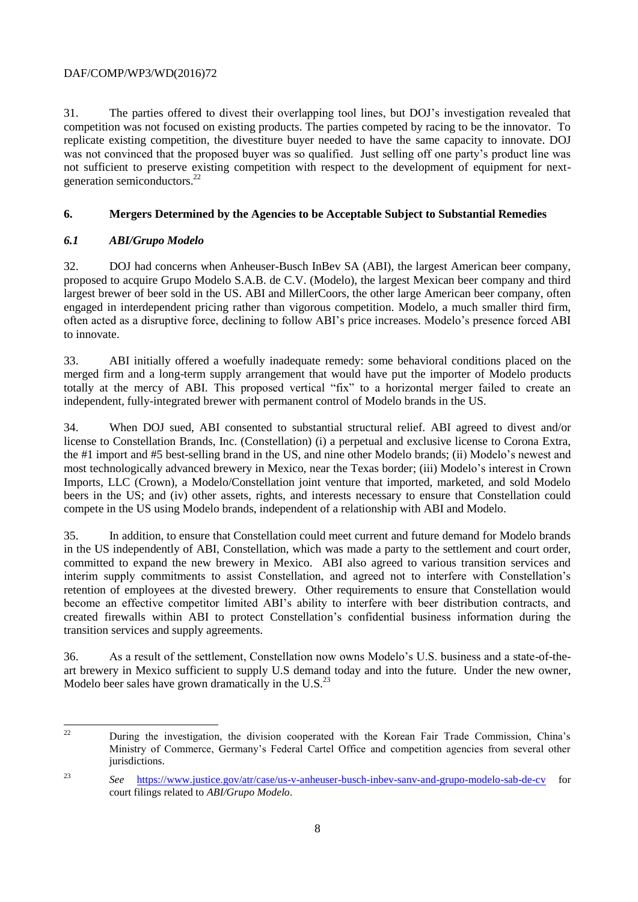## DAF/COMP/WP3/WD(2016)72

31. The parties offered to divest their overlapping tool lines, but DOJ's investigation revealed that competition was not focused on existing products. The parties competed by racing to be the innovator. To replicate existing competition, the divestiture buyer needed to have the same capacity to innovate. DOJ was not convinced that the proposed buyer was so qualified. Just selling off one party's product line was not sufficient to preserve existing competition with respect to the development of equipment for nextgeneration semiconductors.<sup>22</sup>

# **6. Mergers Determined by the Agencies to be Acceptable Subject to Substantial Remedies**

# *6.1 ABI/Grupo Modelo*

32. DOJ had concerns when Anheuser-Busch InBev SA (ABI), the largest American beer company, proposed to acquire Grupo Modelo S.A.B. de C.V. (Modelo), the largest Mexican beer company and third largest brewer of beer sold in the US. ABI and MillerCoors, the other large American beer company, often engaged in interdependent pricing rather than vigorous competition. Modelo, a much smaller third firm, often acted as a disruptive force, declining to follow ABI's price increases. Modelo's presence forced ABI to innovate.

33. ABI initially offered a woefully inadequate remedy: some behavioral conditions placed on the merged firm and a long-term supply arrangement that would have put the importer of Modelo products totally at the mercy of ABI. This proposed vertical "fix" to a horizontal merger failed to create an independent, fully-integrated brewer with permanent control of Modelo brands in the US.

34. When DOJ sued, ABI consented to substantial structural relief. ABI agreed to divest and/or license to Constellation Brands, Inc. (Constellation) (i) a perpetual and exclusive license to Corona Extra, the #1 import and #5 best-selling brand in the US, and nine other Modelo brands; (ii) Modelo's newest and most technologically advanced brewery in Mexico, near the Texas border; (iii) Modelo's interest in Crown Imports, LLC (Crown), a Modelo/Constellation joint venture that imported, marketed, and sold Modelo beers in the US; and (iv) other assets, rights, and interests necessary to ensure that Constellation could compete in the US using Modelo brands, independent of a relationship with ABI and Modelo.

35. In addition, to ensure that Constellation could meet current and future demand for Modelo brands in the US independently of ABI, Constellation, which was made a party to the settlement and court order, committed to expand the new brewery in Mexico. ABI also agreed to various transition services and interim supply commitments to assist Constellation, and agreed not to interfere with Constellation's retention of employees at the divested brewery. Other requirements to ensure that Constellation would become an effective competitor limited ABI's ability to interfere with beer distribution contracts, and created firewalls within ABI to protect Constellation's confidential business information during the transition services and supply agreements.

36. As a result of the settlement, Constellation now owns Modelo's U.S. business and a state-of-theart brewery in Mexico sufficient to supply U.S demand today and into the future. Under the new owner, Modelo beer sales have grown dramatically in the U.S. $^{23}$ 

 $\overline{1}$ <sup>22</sup> During the investigation, the division cooperated with the Korean Fair Trade Commission, China's Ministry of Commerce, Germany's Federal Cartel Office and competition agencies from several other jurisdictions.

<sup>23</sup> *See* <https://www.justice.gov/atr/case/us-v-anheuser-busch-inbev-sanv-and-grupo-modelo-sab-de-cv> for court filings related to *ABI/Grupo Modelo*.